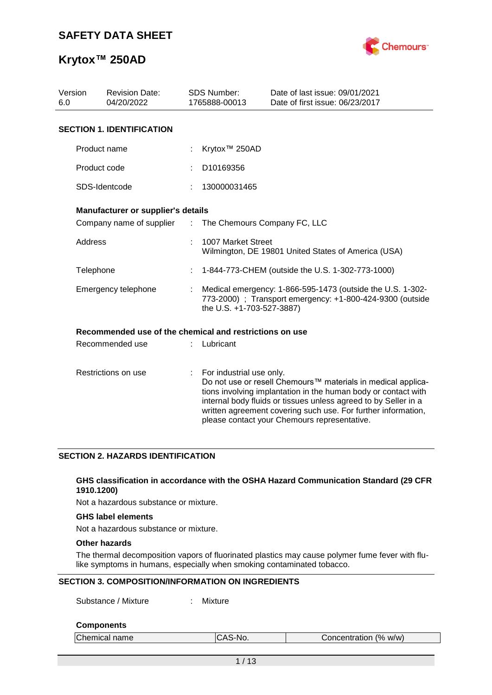

| Version<br>6.0 | <b>Revision Date:</b><br>04/20/2022                     |               | <b>SDS Number:</b><br>1765888-00013                                                                                                                  | Date of last issue: 09/01/2021<br>Date of first issue: 06/23/2017                                                                                                                                                                                                                                                  |  |  |  |  |
|----------------|---------------------------------------------------------|---------------|------------------------------------------------------------------------------------------------------------------------------------------------------|--------------------------------------------------------------------------------------------------------------------------------------------------------------------------------------------------------------------------------------------------------------------------------------------------------------------|--|--|--|--|
|                | <b>SECTION 1. IDENTIFICATION</b>                        |               |                                                                                                                                                      |                                                                                                                                                                                                                                                                                                                    |  |  |  |  |
|                | Product name                                            |               | Krytox <sup>™</sup> 250AD                                                                                                                            |                                                                                                                                                                                                                                                                                                                    |  |  |  |  |
|                | Product code                                            |               | D10169356                                                                                                                                            |                                                                                                                                                                                                                                                                                                                    |  |  |  |  |
|                | SDS-Identcode                                           |               | 130000031465                                                                                                                                         |                                                                                                                                                                                                                                                                                                                    |  |  |  |  |
|                | Manufacturer or supplier's details                      |               |                                                                                                                                                      |                                                                                                                                                                                                                                                                                                                    |  |  |  |  |
|                | Company name of supplier                                | $\mathcal{L}$ | The Chemours Company FC, LLC                                                                                                                         |                                                                                                                                                                                                                                                                                                                    |  |  |  |  |
| Address        |                                                         |               | 1007 Market Street                                                                                                                                   | Wilmington, DE 19801 United States of America (USA)                                                                                                                                                                                                                                                                |  |  |  |  |
| Telephone      |                                                         |               |                                                                                                                                                      | 1-844-773-CHEM (outside the U.S. 1-302-773-1000)                                                                                                                                                                                                                                                                   |  |  |  |  |
|                | Emergency telephone                                     |               | Medical emergency: 1-866-595-1473 (outside the U.S. 1-302-<br>773-2000) ; Transport emergency: +1-800-424-9300 (outside<br>the U.S. +1-703-527-3887) |                                                                                                                                                                                                                                                                                                                    |  |  |  |  |
|                | Recommended use of the chemical and restrictions on use |               |                                                                                                                                                      |                                                                                                                                                                                                                                                                                                                    |  |  |  |  |
|                | Recommended use                                         |               | Lubricant                                                                                                                                            |                                                                                                                                                                                                                                                                                                                    |  |  |  |  |
|                | Restrictions on use                                     | ÷.            | For industrial use only.                                                                                                                             | Do not use or resell Chemours™ materials in medical applica-<br>tions involving implantation in the human body or contact with<br>internal body fluids or tissues unless agreed to by Seller in a<br>written agreement covering such use. For further information,<br>please contact your Chemours representative. |  |  |  |  |

#### **SECTION 2. HAZARDS IDENTIFICATION**

#### **GHS classification in accordance with the OSHA Hazard Communication Standard (29 CFR 1910.1200)**

Not a hazardous substance or mixture.

#### **GHS label elements**

Not a hazardous substance or mixture.

### **Other hazards**

The thermal decomposition vapors of fluorinated plastics may cause polymer fume fever with flulike symptoms in humans, especially when smoking contaminated tobacco.

#### **SECTION 3. COMPOSITION/INFORMATION ON INGREDIENTS**

Substance / Mixture : Mixture

#### **Components**

| Chemical name | S-No.<br>11 C<br>ົ | Concentration (% w/w) |  |
|---------------|--------------------|-----------------------|--|
|               |                    |                       |  |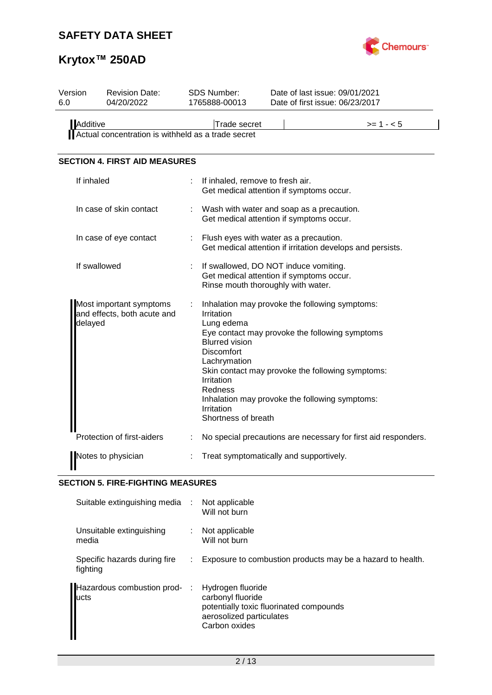

# **Krytox™ 250AD**

| Version<br>6.0 | <b>Revision Date:</b><br>04/20/2022                    | <b>SDS Number:</b><br>1765888-00013                                                                                                                  |  | Date of last issue: 09/01/2021<br>Date of first issue: 06/23/2017                                                                                                                                      |  |  |
|----------------|--------------------------------------------------------|------------------------------------------------------------------------------------------------------------------------------------------------------|--|--------------------------------------------------------------------------------------------------------------------------------------------------------------------------------------------------------|--|--|
| Additive       | Actual concentration is withheld as a trade secret     | <b>Trade secret</b>                                                                                                                                  |  | $>= 1 - 5$                                                                                                                                                                                             |  |  |
|                | <b>SECTION 4. FIRST AID MEASURES</b>                   |                                                                                                                                                      |  |                                                                                                                                                                                                        |  |  |
| If inhaled     |                                                        | If inhaled, remove to fresh air.                                                                                                                     |  | Get medical attention if symptoms occur.                                                                                                                                                               |  |  |
|                | In case of skin contact                                |                                                                                                                                                      |  | Wash with water and soap as a precaution.<br>Get medical attention if symptoms occur.                                                                                                                  |  |  |
|                | In case of eye contact                                 | : Flush eyes with water as a precaution.<br>Get medical attention if irritation develops and persists.                                               |  |                                                                                                                                                                                                        |  |  |
|                | If swallowed                                           | Rinse mouth thoroughly with water.                                                                                                                   |  | If swallowed, DO NOT induce vomiting.<br>Get medical attention if symptoms occur.                                                                                                                      |  |  |
| delayed        | Most important symptoms<br>and effects, both acute and | Irritation<br>Lung edema<br><b>Blurred vision</b><br><b>Discomfort</b><br>Lachrymation<br>Irritation<br>Redness<br>Irritation<br>Shortness of breath |  | Inhalation may provoke the following symptoms:<br>Eye contact may provoke the following symptoms<br>Skin contact may provoke the following symptoms:<br>Inhalation may provoke the following symptoms: |  |  |
|                | Protection of first-aiders                             |                                                                                                                                                      |  | No special precautions are necessary for first aid responders.                                                                                                                                         |  |  |
|                | Notes to physician                                     |                                                                                                                                                      |  | Treat symptomatically and supportively.                                                                                                                                                                |  |  |

## **SECTION 5. FIRE-FIGHTING MEASURES**

| Suitable extinguishing media :           |   | Not applicable<br>Will not burn                                                                                                |
|------------------------------------------|---|--------------------------------------------------------------------------------------------------------------------------------|
| Unsuitable extinguishing<br>media        |   | Not applicable<br>Will not burn                                                                                                |
| Specific hazards during fire<br>fighting |   | Exposure to combustion products may be a hazard to health.                                                                     |
| Hazardous combustion prod-<br>lucts      | ÷ | Hydrogen fluoride<br>carbonyl fluoride<br>potentially toxic fluorinated compounds<br>aerosolized particulates<br>Carbon oxides |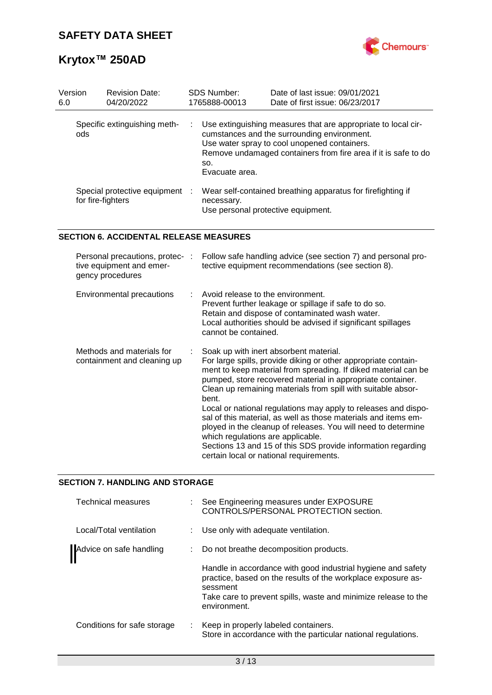

# **Krytox™ 250AD**

| Version<br>6.0 | <b>Revision Date:</b><br>04/20/2022                 | <b>SDS Number:</b><br>1765888-00013              | Date of last issue: 09/01/2021<br>Date of first issue: 06/23/2017                                                                                                                                                              |
|----------------|-----------------------------------------------------|--------------------------------------------------|--------------------------------------------------------------------------------------------------------------------------------------------------------------------------------------------------------------------------------|
| ods.           | Specific extinguishing meth-                        | SO.<br>Evacuate area.                            | Use extinguishing measures that are appropriate to local cir-<br>cumstances and the surrounding environment.<br>Use water spray to cool unopened containers.<br>Remove undamaged containers from fire area if it is safe to do |
|                | Special protective equipment :<br>for fire-fighters | necessary.<br>Use personal protective equipment. | Wear self-contained breathing apparatus for firefighting if                                                                                                                                                                    |

### **SECTION 6. ACCIDENTAL RELEASE MEASURES**

| Personal precautions, protec-:<br>tive equipment and emer-<br>gency procedures | Follow safe handling advice (see section 7) and personal pro-<br>tective equipment recommendations (see section 8).                                                                                                                                                                                                                                                                                                                                                                                                                                                                                                                                                    |
|--------------------------------------------------------------------------------|------------------------------------------------------------------------------------------------------------------------------------------------------------------------------------------------------------------------------------------------------------------------------------------------------------------------------------------------------------------------------------------------------------------------------------------------------------------------------------------------------------------------------------------------------------------------------------------------------------------------------------------------------------------------|
| Environmental precautions                                                      | $\therefore$ Avoid release to the environment.<br>Prevent further leakage or spillage if safe to do so.<br>Retain and dispose of contaminated wash water.<br>Local authorities should be advised if significant spillages<br>cannot be contained.                                                                                                                                                                                                                                                                                                                                                                                                                      |
| Methods and materials for<br>containment and cleaning up                       | Soak up with inert absorbent material.<br>For large spills, provide diking or other appropriate contain-<br>ment to keep material from spreading. If diked material can be<br>pumped, store recovered material in appropriate container.<br>Clean up remaining materials from spill with suitable absor-<br>bent.<br>Local or national regulations may apply to releases and dispo-<br>sal of this material, as well as those materials and items em-<br>ployed in the cleanup of releases. You will need to determine<br>which regulations are applicable.<br>Sections 13 and 15 of this SDS provide information regarding<br>certain local or national requirements. |

#### **SECTION 7. HANDLING AND STORAGE**

| Technical measures          | : See Engineering measures under EXPOSURE<br>CONTROLS/PERSONAL PROTECTION section.                                                       |
|-----------------------------|------------------------------------------------------------------------------------------------------------------------------------------|
| Local/Total ventilation     | : Use only with adequate ventilation.                                                                                                    |
| Advice on safe handling     | Do not breathe decomposition products.                                                                                                   |
|                             | Handle in accordance with good industrial hygiene and safety<br>practice, based on the results of the workplace exposure as-<br>sessment |
|                             | Take care to prevent spills, waste and minimize release to the<br>environment.                                                           |
| Conditions for safe storage | : Keep in properly labeled containers.<br>Store in accordance with the particular national regulations.                                  |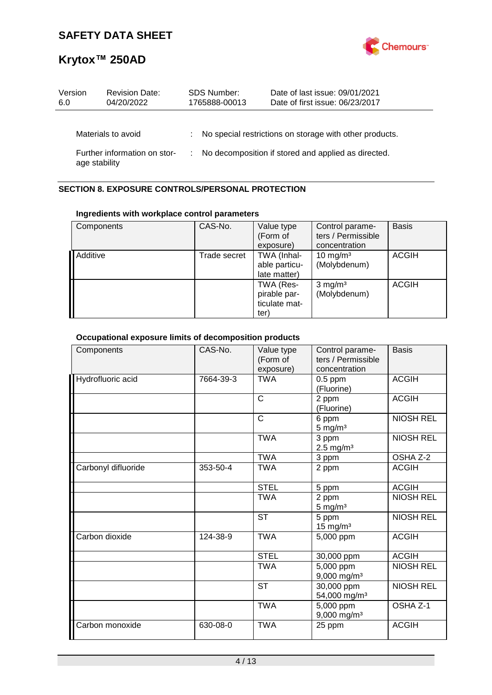

| Version<br>6.0 | <b>Revision Date:</b><br>04/20/2022 | <b>SDS Number:</b><br>1765888-00013 | Date of last issue: 09/01/2021<br>Date of first issue: 06/23/2017 |
|----------------|-------------------------------------|-------------------------------------|-------------------------------------------------------------------|
|                | Materials to avoid                  |                                     | : No special restrictions on storage with other products.         |
| age stability  | Further information on stor-        |                                     | : No decomposition if stored and applied as directed.             |

## **SECTION 8. EXPOSURE CONTROLS/PERSONAL PROTECTION**

### **Ingredients with workplace control parameters**

| Components | CAS-No.      | Value type<br>(Form of<br>exposure)                | Control parame-<br>ters / Permissible<br>concentration | <b>Basis</b> |
|------------|--------------|----------------------------------------------------|--------------------------------------------------------|--------------|
| Additive   | Trade secret | TWA (Inhal-<br>able particu-<br>late matter)       | $10 \text{ mg/m}^3$<br>(Molybdenum)                    | <b>ACGIH</b> |
|            |              | TWA (Res-<br>pirable par-<br>ticulate mat-<br>ter) | $3$ mg/m <sup>3</sup><br>(Molybdenum)                  | <b>ACGIH</b> |

## **Occupational exposure limits of decomposition products**

| Components          | CAS-No.   | Value type<br>(Form of<br>exposure) | Control parame-<br>ters / Permissible<br>concentration | <b>Basis</b>     |
|---------------------|-----------|-------------------------------------|--------------------------------------------------------|------------------|
| Hydrofluoric acid   | 7664-39-3 | <b>TWA</b>                          | $0.5$ ppm<br>(Fluorine)                                | <b>ACGIH</b>     |
|                     |           | $\mathsf{C}$                        | 2 ppm<br>(Fluorine)                                    | <b>ACGIH</b>     |
|                     |           | $\mathsf{C}$                        | 6 ppm<br>$5 \text{ mg/m}^3$                            | <b>NIOSH REL</b> |
|                     |           | <b>TWA</b>                          | 3 ppm<br>$2.5 \text{ mg/m}^3$                          | <b>NIOSH REL</b> |
|                     |           | <b>TWA</b>                          | 3 ppm                                                  | OSHA Z-2         |
| Carbonyl difluoride | 353-50-4  | <b>TWA</b>                          | 2 ppm                                                  | <b>ACGIH</b>     |
|                     |           | <b>STEL</b>                         | 5 ppm                                                  | <b>ACGIH</b>     |
|                     |           | <b>TWA</b>                          | 2 ppm<br>$5 \text{ mg/m}^3$                            | <b>NIOSH REL</b> |
|                     |           | <b>ST</b>                           | 5 ppm<br>$15 \text{ mg/m}^3$                           | <b>NIOSH REL</b> |
| Carbon dioxide      | 124-38-9  | <b>TWA</b>                          | 5,000 ppm                                              | <b>ACGIH</b>     |
|                     |           | <b>STEL</b>                         | 30,000 ppm                                             | <b>ACGIH</b>     |
|                     |           | <b>TWA</b>                          | 5,000 ppm<br>$9,000$ mg/m <sup>3</sup>                 | <b>NIOSH REL</b> |
|                     |           | <b>ST</b>                           | 30,000 ppm<br>54,000 mg/m <sup>3</sup>                 | <b>NIOSH REL</b> |
|                     |           | <b>TWA</b>                          | 5,000 ppm<br>9,000 mg/m <sup>3</sup>                   | OSHA Z-1         |
| Carbon monoxide     | 630-08-0  | <b>TWA</b>                          | 25 ppm                                                 | <b>ACGIH</b>     |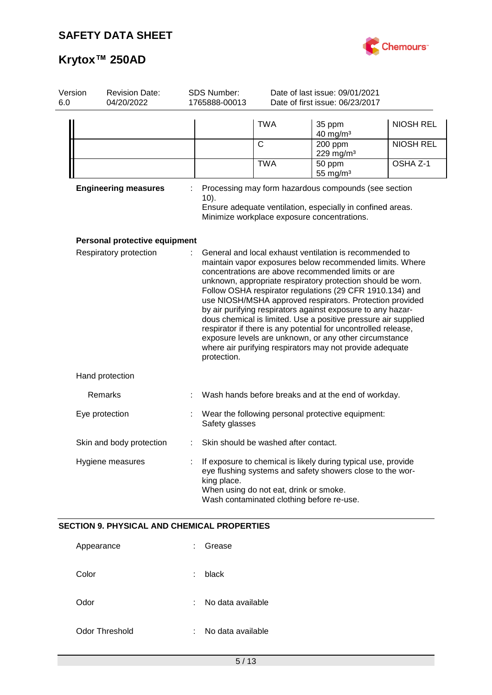

| Version<br>6.0 | <b>Revision Date:</b><br>04/20/2022                | <b>SDS Number:</b><br>1765888-00013                                                                                                                                                                                              | Date of last issue: 09/01/2021<br>Date of first issue: 06/23/2017 |                                                                                                                                                                                                                                                                                                                                                                                                                                                                                                                                                                                                                                                                                           |                  |
|----------------|----------------------------------------------------|----------------------------------------------------------------------------------------------------------------------------------------------------------------------------------------------------------------------------------|-------------------------------------------------------------------|-------------------------------------------------------------------------------------------------------------------------------------------------------------------------------------------------------------------------------------------------------------------------------------------------------------------------------------------------------------------------------------------------------------------------------------------------------------------------------------------------------------------------------------------------------------------------------------------------------------------------------------------------------------------------------------------|------------------|
|                |                                                    |                                                                                                                                                                                                                                  | <b>TWA</b>                                                        | 35 ppm<br>$40$ mg/m <sup>3</sup>                                                                                                                                                                                                                                                                                                                                                                                                                                                                                                                                                                                                                                                          | <b>NIOSH REL</b> |
|                |                                                    |                                                                                                                                                                                                                                  | $\mathsf{C}$                                                      | 200 ppm<br>229 mg/m $3$                                                                                                                                                                                                                                                                                                                                                                                                                                                                                                                                                                                                                                                                   | <b>NIOSH REL</b> |
|                |                                                    |                                                                                                                                                                                                                                  | <b>TWA</b>                                                        | 50 ppm<br>55 mg/ $m3$                                                                                                                                                                                                                                                                                                                                                                                                                                                                                                                                                                                                                                                                     | OSHA Z-1         |
|                | <b>Engineering measures</b>                        | Processing may form hazardous compounds (see section<br>$10$ ).<br>Ensure adequate ventilation, especially in confined areas.<br>Minimize workplace exposure concentrations.                                                     |                                                                   |                                                                                                                                                                                                                                                                                                                                                                                                                                                                                                                                                                                                                                                                                           |                  |
|                | Personal protective equipment                      |                                                                                                                                                                                                                                  |                                                                   |                                                                                                                                                                                                                                                                                                                                                                                                                                                                                                                                                                                                                                                                                           |                  |
|                | Respiratory protection                             | protection.                                                                                                                                                                                                                      |                                                                   | General and local exhaust ventilation is recommended to<br>maintain vapor exposures below recommended limits. Where<br>concentrations are above recommended limits or are<br>unknown, appropriate respiratory protection should be worn.<br>Follow OSHA respirator regulations (29 CFR 1910.134) and<br>use NIOSH/MSHA approved respirators. Protection provided<br>by air purifying respirators against exposure to any hazar-<br>dous chemical is limited. Use a positive pressure air supplied<br>respirator if there is any potential for uncontrolled release,<br>exposure levels are unknown, or any other circumstance<br>where air purifying respirators may not provide adequate |                  |
|                | Hand protection                                    |                                                                                                                                                                                                                                  |                                                                   |                                                                                                                                                                                                                                                                                                                                                                                                                                                                                                                                                                                                                                                                                           |                  |
|                | Remarks                                            |                                                                                                                                                                                                                                  |                                                                   | Wash hands before breaks and at the end of workday.                                                                                                                                                                                                                                                                                                                                                                                                                                                                                                                                                                                                                                       |                  |
|                | Eye protection                                     | Safety glasses                                                                                                                                                                                                                   |                                                                   | Wear the following personal protective equipment:                                                                                                                                                                                                                                                                                                                                                                                                                                                                                                                                                                                                                                         |                  |
|                | Skin and body protection                           |                                                                                                                                                                                                                                  | Skin should be washed after contact.                              |                                                                                                                                                                                                                                                                                                                                                                                                                                                                                                                                                                                                                                                                                           |                  |
|                | Hygiene measures                                   | If exposure to chemical is likely during typical use, provide<br>eye flushing systems and safety showers close to the wor-<br>king place.<br>When using do not eat, drink or smoke.<br>Wash contaminated clothing before re-use. |                                                                   |                                                                                                                                                                                                                                                                                                                                                                                                                                                                                                                                                                                                                                                                                           |                  |
|                | <b>SECTION 9. PHYSICAL AND CHEMICAL PROPERTIES</b> |                                                                                                                                                                                                                                  |                                                                   |                                                                                                                                                                                                                                                                                                                                                                                                                                                                                                                                                                                                                                                                                           |                  |
|                | Appearance                                         | Grease                                                                                                                                                                                                                           |                                                                   |                                                                                                                                                                                                                                                                                                                                                                                                                                                                                                                                                                                                                                                                                           |                  |
|                | Color                                              | black                                                                                                                                                                                                                            |                                                                   |                                                                                                                                                                                                                                                                                                                                                                                                                                                                                                                                                                                                                                                                                           |                  |
|                | Odor                                               | No data available                                                                                                                                                                                                                |                                                                   |                                                                                                                                                                                                                                                                                                                                                                                                                                                                                                                                                                                                                                                                                           |                  |
|                | <b>Odor Threshold</b>                              | No data available                                                                                                                                                                                                                |                                                                   |                                                                                                                                                                                                                                                                                                                                                                                                                                                                                                                                                                                                                                                                                           |                  |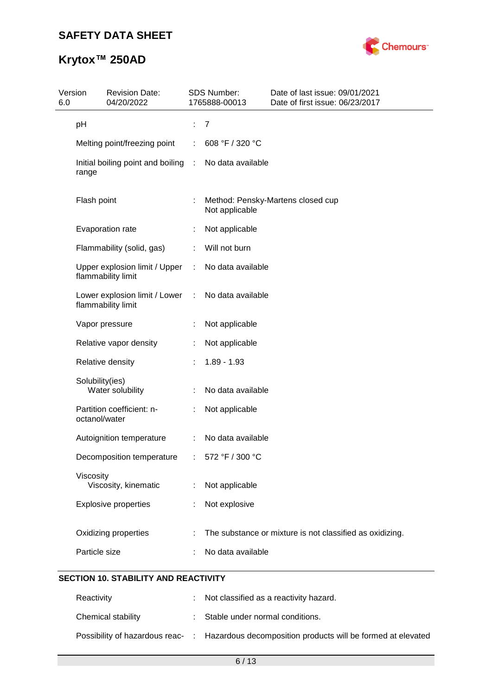

# **Krytox™ 250AD**

| Version<br>6.0 | <b>Revision Date:</b><br>04/20/2022                 |      | SDS Number:<br>1765888-00013 | Date of last issue: 09/01/2021<br>Date of first issue: 06/23/2017 |
|----------------|-----------------------------------------------------|------|------------------------------|-------------------------------------------------------------------|
|                | pH                                                  |      | $\overline{7}$               |                                                                   |
|                | Melting point/freezing point                        |      | 608 °F / 320 °C              |                                                                   |
|                | Initial boiling point and boiling<br>range          | - 11 | No data available            |                                                                   |
|                | Flash point                                         | t.   | Not applicable               | Method: Pensky-Martens closed cup                                 |
|                | Evaporation rate                                    |      | Not applicable               |                                                                   |
|                | Flammability (solid, gas)                           |      | Will not burn                |                                                                   |
|                | Upper explosion limit / Upper<br>flammability limit |      | No data available            |                                                                   |
|                | Lower explosion limit / Lower<br>flammability limit | ÷    | No data available            |                                                                   |
|                | Vapor pressure                                      |      | Not applicable               |                                                                   |
|                | Relative vapor density                              |      | Not applicable               |                                                                   |
|                | Relative density                                    |      | $1.89 - 1.93$                |                                                                   |
|                | Solubility(ies)<br>Water solubility                 |      | No data available            |                                                                   |
|                | Partition coefficient: n-<br>octanol/water          |      | Not applicable               |                                                                   |
|                | Autoignition temperature                            | ÷    | No data available            |                                                                   |
|                | Decomposition temperature                           |      | 572 °F / 300 °C              |                                                                   |
|                | Viscosity<br>Viscosity, kinematic                   | ÷    | Not applicable               |                                                                   |
|                | <b>Explosive properties</b>                         |      | Not explosive                |                                                                   |
|                | Oxidizing properties                                |      |                              | The substance or mixture is not classified as oxidizing.          |
|                | Particle size                                       |      | No data available            |                                                                   |
|                |                                                     |      |                              |                                                                   |

## **SECTION 10. STABILITY AND REACTIVITY**

| Reactivity         | : Not classified as a reactivity hazard.                                                     |
|--------------------|----------------------------------------------------------------------------------------------|
| Chemical stability | : Stable under normal conditions.                                                            |
|                    | Possibility of hazardous reac- : Hazardous decomposition products will be formed at elevated |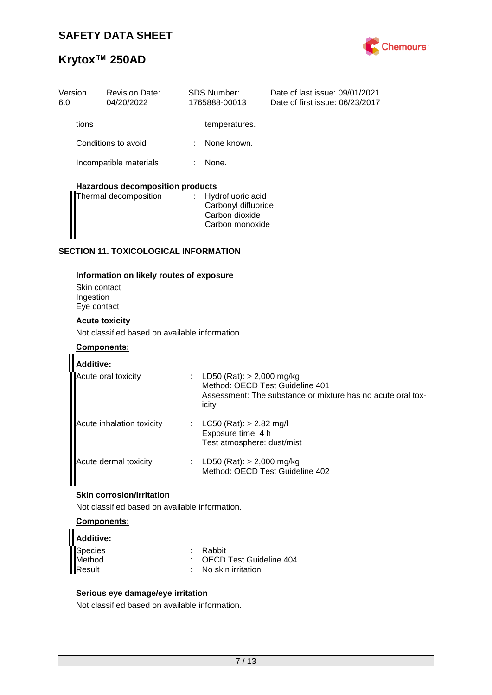

| Version<br>6.0 | <b>Revision Date:</b><br>04/20/2022     |   | <b>SDS Number:</b><br>1765888-00013                                             | Date of last issue: 09/01/2021<br>Date of first issue: 06/23/2017 |
|----------------|-----------------------------------------|---|---------------------------------------------------------------------------------|-------------------------------------------------------------------|
| tions          |                                         |   | temperatures.                                                                   |                                                                   |
|                | Conditions to avoid                     | ÷ | None known.                                                                     |                                                                   |
|                | Incompatible materials                  |   | None.                                                                           |                                                                   |
|                | <b>Hazardous decomposition products</b> |   |                                                                                 |                                                                   |
|                | Thermal decomposition                   |   | : Hydrofluoric acid<br>Carbonyl difluoride<br>Carbon dioxide<br>Carbon monoxide |                                                                   |

### **SECTION 11. TOXICOLOGICAL INFORMATION**

#### **Information on likely routes of exposure**

Skin contact Ingestion Eye contact

### **Acute toxicity**

Not classified based on available information.

#### **Components:**

| <b>Additive:</b>          |                                                                                                                                          |
|---------------------------|------------------------------------------------------------------------------------------------------------------------------------------|
| Acute oral toxicity       | : LD50 (Rat): $> 2,000$ mg/kg<br>Method: OECD Test Guideline 401<br>Assessment: The substance or mixture has no acute oral tox-<br>icity |
| Acute inhalation toxicity | LC50 (Rat): > 2.82 mg/l<br>Exposure time: 4 h<br>Test atmosphere: dust/mist                                                              |
| Acute dermal toxicity     | LD50 (Rat): $> 2,000$ mg/kg<br>Method: OECD Test Guideline 402                                                                           |

## **Skin corrosion/irritation**

Not classified based on available information.

### **Components:**

| Additive: |                                 |
|-----------|---------------------------------|
| Species   | : Rabbit                        |
| Method    | : OECD Test Guideline 404       |
| Result    | $\therefore$ No skin irritation |

#### **Serious eye damage/eye irritation**

Not classified based on available information.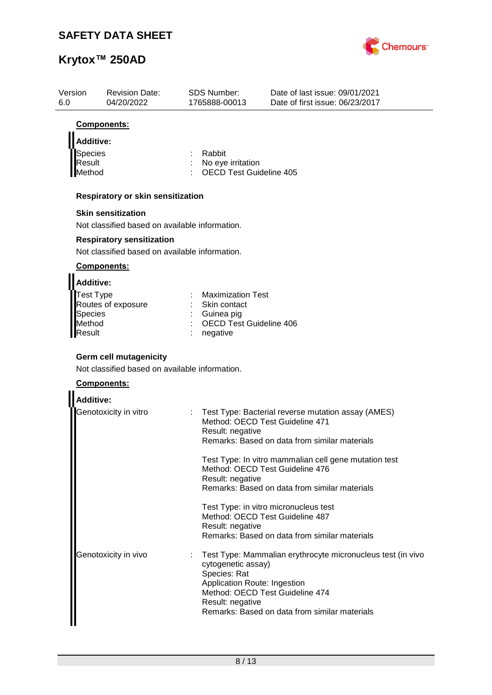

| Version<br>6.0           | <b>Revision Date:</b><br>04/20/2022                                                            | SDS Number:<br>1765888-00013                 | Date of last issue: 09/01/2021<br>Date of first issue: 06/23/2017                        |
|--------------------------|------------------------------------------------------------------------------------------------|----------------------------------------------|------------------------------------------------------------------------------------------|
|                          | Components:                                                                                    |                                              |                                                                                          |
| <b>Additive:</b>         |                                                                                                |                                              |                                                                                          |
| Species                  |                                                                                                | Rabbit                                       |                                                                                          |
| Result                   |                                                                                                | No eye irritation                            |                                                                                          |
| Method                   |                                                                                                | <b>OECD Test Guideline 405</b>               |                                                                                          |
|                          | Respiratory or skin sensitization                                                              |                                              |                                                                                          |
|                          | <b>Skin sensitization</b>                                                                      |                                              |                                                                                          |
|                          | Not classified based on available information.                                                 |                                              |                                                                                          |
|                          | <b>Respiratory sensitization</b>                                                               |                                              |                                                                                          |
|                          | Not classified based on available information.                                                 |                                              |                                                                                          |
|                          | Components:                                                                                    |                                              |                                                                                          |
| <b>Additive:</b>         |                                                                                                |                                              |                                                                                          |
| Test Type                |                                                                                                | <b>Maximization Test</b>                     |                                                                                          |
|                          | Routes of exposure                                                                             | Skin contact                                 |                                                                                          |
| <b>Species</b><br>Method |                                                                                                | Guinea pig<br><b>OECD Test Guideline 406</b> |                                                                                          |
| Result                   |                                                                                                | negative                                     |                                                                                          |
|                          | <b>Germ cell mutagenicity</b><br>Not classified based on available information.<br>Components: |                                              |                                                                                          |
| <b>Additive:</b>         |                                                                                                |                                              |                                                                                          |
|                          | Genotoxicity in vitro                                                                          | Method: OECD Test Guideline 471              | Test Type: Bacterial reverse mutation assay (AMES)                                       |
|                          |                                                                                                | Result: negative                             | Remarks: Based on data from similar materials                                            |
|                          |                                                                                                |                                              |                                                                                          |
|                          |                                                                                                |                                              | Test Type: In vitro mammalian cell gene mutation test<br>Method: OECD Test Guideline 476 |
|                          |                                                                                                | Result: negative                             |                                                                                          |
|                          |                                                                                                |                                              | Remarks: Based on data from similar materials                                            |
|                          |                                                                                                |                                              | Test Type: in vitro micronucleus test                                                    |
|                          |                                                                                                |                                              | Method: OECD Test Guideline 487                                                          |
|                          |                                                                                                | Result: negative                             | Remarks: Based on data from similar materials                                            |
|                          |                                                                                                |                                              |                                                                                          |
|                          | Genotoxicity in vivo                                                                           |                                              | Test Type: Mammalian erythrocyte micronucleus test (in vivo                              |
|                          |                                                                                                | cytogenetic assay)<br>Species: Rat           |                                                                                          |
|                          |                                                                                                | Application Route: Ingestion                 |                                                                                          |
|                          |                                                                                                |                                              | Method: OECD Test Guideline 474                                                          |
|                          |                                                                                                | Result: negative                             |                                                                                          |
|                          |                                                                                                |                                              | Remarks: Based on data from similar materials                                            |
|                          |                                                                                                |                                              |                                                                                          |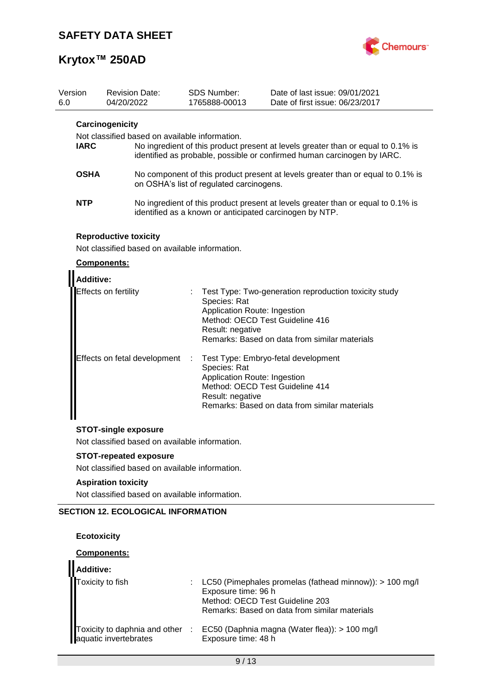

| Version<br>6.0 |                                                                                  | 04/20/2022 | <b>Revision Date:</b>                          |   | <b>SDS Number:</b><br>1765888-00013                                                                 | Date of last issue: 09/01/2021<br>Date of first issue: 06/23/2017                                                                                           |
|----------------|----------------------------------------------------------------------------------|------------|------------------------------------------------|---|-----------------------------------------------------------------------------------------------------|-------------------------------------------------------------------------------------------------------------------------------------------------------------|
|                | Carcinogenicity<br>Not classified based on available information.<br><b>IARC</b> |            |                                                |   |                                                                                                     | No ingredient of this product present at levels greater than or equal to 0.1% is<br>identified as probable, possible or confirmed human carcinogen by IARC. |
|                | <b>OSHA</b>                                                                      |            |                                                |   | on OSHA's list of regulated carcinogens.                                                            | No component of this product present at levels greater than or equal to 0.1% is                                                                             |
|                | NTP                                                                              |            |                                                |   |                                                                                                     | No ingredient of this product present at levels greater than or equal to 0.1% is<br>identified as a known or anticipated carcinogen by NTP.                 |
|                | <b>Reproductive toxicity</b><br>Components:                                      |            | Not classified based on available information. |   |                                                                                                     |                                                                                                                                                             |
|                | <b>Additive:</b>                                                                 |            |                                                |   |                                                                                                     |                                                                                                                                                             |
|                | Effects on fertility                                                             |            |                                                |   | Species: Rat<br>Application Route: Ingestion<br>Method: OECD Test Guideline 416<br>Result: negative | Test Type: Two-generation reproduction toxicity study<br>Remarks: Based on data from similar materials                                                      |
|                |                                                                                  |            | Effects on fetal development                   | ÷ | Species: Rat<br>Application Route: Ingestion<br>Method: OECD Test Guideline 414<br>Result: negative | Test Type: Embryo-fetal development<br>Remarks: Based on data from similar materials                                                                        |
|                | <b>STOT-single exposure</b><br>Not classified based on available information.    |            |                                                |   |                                                                                                     |                                                                                                                                                             |
|                |                                                                                  |            | <b>STOT-repeated exposure</b>                  |   |                                                                                                     |                                                                                                                                                             |
|                |                                                                                  |            | Not classified based on available information. |   |                                                                                                     |                                                                                                                                                             |
|                | <b>Aspiration toxicity</b>                                                       |            |                                                |   |                                                                                                     |                                                                                                                                                             |

Not classified based on available information.

## **SECTION 12. ECOLOGICAL INFORMATION**

## **Ecotoxicity**

### **Components:**

| Additive:                                                |                                                                                                                                                                      |
|----------------------------------------------------------|----------------------------------------------------------------------------------------------------------------------------------------------------------------------|
| Toxicity to fish                                         | LC50 (Pimephales promelas (fathead minnow)): $> 100$ mg/l<br>Exposure time: 96 h<br>Method: OECD Test Guideline 203<br>Remarks: Based on data from similar materials |
| Toxicity to daphnia and other :<br>aquatic invertebrates | EC50 (Daphnia magna (Water flea)): > 100 mg/l<br>Exposure time: 48 h                                                                                                 |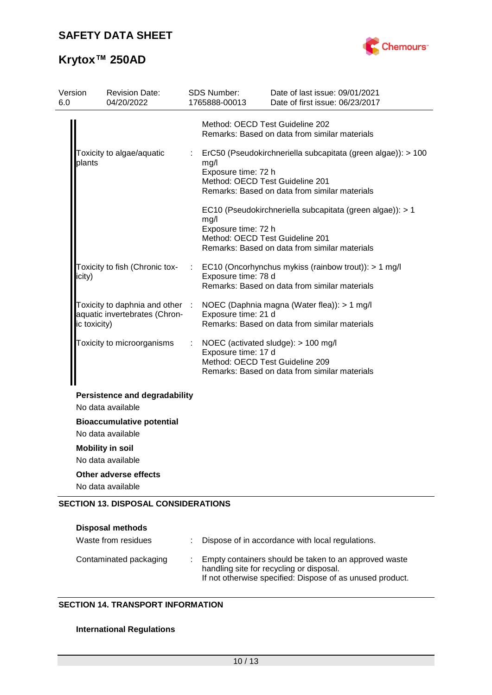

# **Krytox™ 250AD**

| Version<br>6.0 | <b>Revision Date:</b><br>04/20/2022                                              |                           | SDS Number:<br>1765888-00013 | Date of last issue: 09/01/2021<br>Date of first issue: 06/23/2017                                                                                |
|----------------|----------------------------------------------------------------------------------|---------------------------|------------------------------|--------------------------------------------------------------------------------------------------------------------------------------------------|
|                |                                                                                  |                           |                              | Method: OECD Test Guideline 202<br>Remarks: Based on data from similar materials                                                                 |
|                | Toxicity to algae/aquatic<br>plants                                              | $\mathbb{Z}^{\mathbb{Z}}$ | mg/l<br>Exposure time: 72 h  | ErC50 (Pseudokirchneriella subcapitata (green algae)): > 100<br>Method: OECD Test Guideline 201<br>Remarks: Based on data from similar materials |
|                |                                                                                  |                           | mg/l<br>Exposure time: 72 h  | EC10 (Pseudokirchneriella subcapitata (green algae)): > 1<br>Method: OECD Test Guideline 201<br>Remarks: Based on data from similar materials    |
|                | Toxicity to fish (Chronic tox-<br>icity)                                         |                           | Exposure time: 78 d          | EC10 (Oncorhynchus mykiss (rainbow trout)): > 1 mg/l<br>Remarks: Based on data from similar materials                                            |
|                | Toxicity to daphnia and other :<br>aquatic invertebrates (Chron-<br>ic toxicity) |                           | Exposure time: 21 d          | NOEC (Daphnia magna (Water flea)): > 1 mg/l<br>Remarks: Based on data from similar materials                                                     |
|                | Toxicity to microorganisms                                                       | ÷                         | Exposure time: 17 d          | NOEC (activated sludge): > 100 mg/l<br>Method: OECD Test Guideline 209<br>Remarks: Based on data from similar materials                          |
|                | <b>Persistence and degradability</b><br>No data available                        |                           |                              |                                                                                                                                                  |
|                | <b>Bioaccumulative potential</b><br>No data available                            |                           |                              |                                                                                                                                                  |
|                | <b>Mobility in soil</b><br>No data available                                     |                           |                              |                                                                                                                                                  |
|                | Other adverse effects<br>No data available                                       |                           |                              |                                                                                                                                                  |
|                | <b>SECTION 13. DISPOSAL CONSIDERATIONS</b>                                       |                           |                              |                                                                                                                                                  |

| <b>Disposal methods</b><br>Waste from residues | Dispose of in accordance with local regulations.                                                                                                               |
|------------------------------------------------|----------------------------------------------------------------------------------------------------------------------------------------------------------------|
| Contaminated packaging                         | Empty containers should be taken to an approved waste<br>handling site for recycling or disposal.<br>If not otherwise specified: Dispose of as unused product. |

## **SECTION 14. TRANSPORT INFORMATION**

### **International Regulations**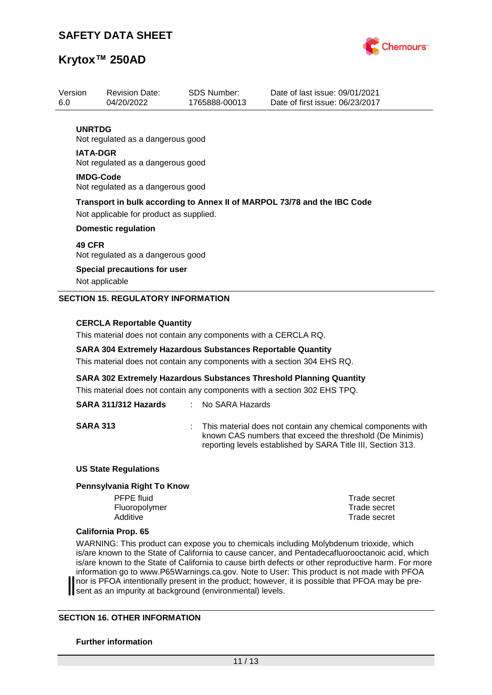

| Version          | <b>Revision Date:</b>                                                    | <b>SDS Number:</b> | Date of last issue: 09/01/2021  |  |  |  |
|------------------|--------------------------------------------------------------------------|--------------------|---------------------------------|--|--|--|
| 6.0              | 04/20/2022                                                               | 1765888-00013      | Date of first issue: 06/23/2017 |  |  |  |
|                  |                                                                          |                    |                                 |  |  |  |
| <b>UNRTDG</b>    |                                                                          |                    |                                 |  |  |  |
|                  | Not regulated as a dangerous good                                        |                    |                                 |  |  |  |
| <b>IATA-DGR</b>  |                                                                          |                    |                                 |  |  |  |
|                  | Not regulated as a dangerous good                                        |                    |                                 |  |  |  |
| <b>IMDG-Code</b> |                                                                          |                    |                                 |  |  |  |
|                  | Not regulated as a dangerous good                                        |                    |                                 |  |  |  |
|                  |                                                                          |                    |                                 |  |  |  |
|                  | Transport in bulk according to Annex II of MARPOL 73/78 and the IBC Code |                    |                                 |  |  |  |
|                  | Not applicable for product as supplied.                                  |                    |                                 |  |  |  |
|                  | <b>Domestic regulation</b>                                               |                    |                                 |  |  |  |
| <b>49 CFR</b>    |                                                                          |                    |                                 |  |  |  |
|                  | Not regulated as a dangerous good                                        |                    |                                 |  |  |  |
|                  | <b>Special precautions for user</b>                                      |                    |                                 |  |  |  |
|                  | Not applicable                                                           |                    |                                 |  |  |  |
|                  |                                                                          |                    |                                 |  |  |  |
|                  | <b>SECTION 15. REGULATORY INFORMATION</b>                                |                    |                                 |  |  |  |
|                  |                                                                          |                    |                                 |  |  |  |
|                  | CEDCLA Denesteble Quentity                                               |                    |                                 |  |  |  |

#### **CERCLA Reportable Quantity**

This material does not contain any components with a CERCLA RQ.

#### **SARA 304 Extremely Hazardous Substances Reportable Quantity**

This material does not contain any components with a section 304 EHS RQ.

**SARA 302 Extremely Hazardous Substances Threshold Planning Quantity**

This material does not contain any components with a section 302 EHS TPQ.

## **SARA 311/312 Hazards** : No SARA Hazards

**SARA 313** : This material does not contain any chemical components with known CAS numbers that exceed the threshold (De Minimis) reporting levels established by SARA Title III, Section 313.

#### **US State Regulations**

#### **Pennsylvania Right To Know**

PFPE fluid Trade secret Fluoropolymer Trade secret Additive **Trade secret** 

#### **California Prop. 65**

WARNING: This product can expose you to chemicals including Molybdenum trioxide, which is/are known to the State of California to cause cancer, and Pentadecafluorooctanoic acid, which is/are known to the State of California to cause birth defects or other reproductive harm. For more information go to www.P65Warnings.ca.gov. Note to User: This product is not made with PFOA nor is PFOA intentionally present in the product; however, it is possible that PFOA may be present as an impurity at background (environmental) levels.

#### **SECTION 16. OTHER INFORMATION**

#### **Further information**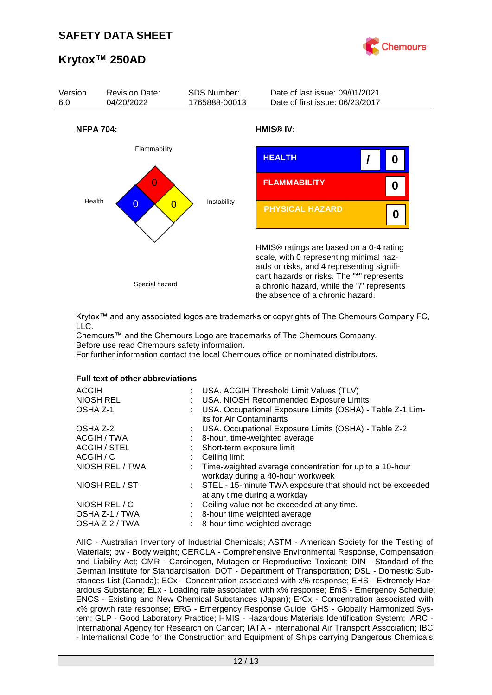



Krytox™ and any associated logos are trademarks or copyrights of The Chemours Company FC, LLC.

Chemours™ and the Chemours Logo are trademarks of The Chemours Company. Before use read Chemours safety information.

For further information contact the local Chemours office or nominated distributors.

#### **Full text of other abbreviations**

| <b>ACGIH</b><br>: USA. ACGIH Threshold Limit Values (TLV)<br>NIOSH REL<br>: USA. NIOSH Recommended Exposure Limits<br>USA. Occupational Exposure Limits (OSHA) - Table Z-1 Lim-<br>OSHA Z-1<br>its for Air Contaminants |  |
|-------------------------------------------------------------------------------------------------------------------------------------------------------------------------------------------------------------------------|--|
| : USA. Occupational Exposure Limits (OSHA) - Table Z-2<br>OSHA Z-2                                                                                                                                                      |  |
| ACGIH / TWA<br>8-hour, time-weighted average                                                                                                                                                                            |  |
| <b>ACGIH / STEL</b><br>: Short-term exposure limit                                                                                                                                                                      |  |
| ACGIH / C<br>Ceiling limit                                                                                                                                                                                              |  |
| NIOSH REL / TWA<br>: Time-weighted average concentration for up to a 10-hour<br>workday during a 40-hour workweek                                                                                                       |  |
| NIOSH REL / ST<br>: STEL - 15-minute TWA exposure that should not be exceeded<br>at any time during a workday                                                                                                           |  |
| NIOSH REL / C<br>: Ceiling value not be exceeded at any time.                                                                                                                                                           |  |
| OSHA Z-1 / TWA<br>8-hour time weighted average                                                                                                                                                                          |  |
| OSHA Z-2 / TWA<br>8-hour time weighted average                                                                                                                                                                          |  |

AIIC - Australian Inventory of Industrial Chemicals; ASTM - American Society for the Testing of Materials; bw - Body weight; CERCLA - Comprehensive Environmental Response, Compensation, and Liability Act; CMR - Carcinogen, Mutagen or Reproductive Toxicant; DIN - Standard of the German Institute for Standardisation; DOT - Department of Transportation; DSL - Domestic Substances List (Canada); ECx - Concentration associated with x% response; EHS - Extremely Hazardous Substance; ELx - Loading rate associated with x% response; EmS - Emergency Schedule; ENCS - Existing and New Chemical Substances (Japan); ErCx - Concentration associated with x% growth rate response; ERG - Emergency Response Guide; GHS - Globally Harmonized System; GLP - Good Laboratory Practice; HMIS - Hazardous Materials Identification System; IARC - International Agency for Research on Cancer; IATA - International Air Transport Association; IBC - International Code for the Construction and Equipment of Ships carrying Dangerous Chemicals